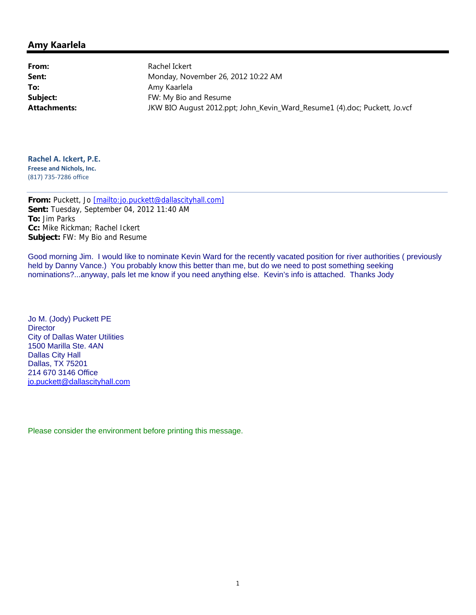### **Amy Kaarlela**

**From:** Rachel Ickert To: Amy Kaarlela

**Sent:** Monday, November 26, 2012 10:22 AM **Subject:** FW: My Bio and Resume **Attachments:** JKW BIO August 2012.ppt; John\_Kevin\_Ward\_Resume1 (4).doc; Puckett, Jo.vcf

**Rachel A. Ickert, P.E. Freese and Nichols, Inc.** (817) 735‐7286 office

**From:** Puckett, Jo [mailto:jo.puckett@dallascityhall.com] **Sent:** Tuesday, September 04, 2012 11:40 AM **To:** Jim Parks **Cc:** Mike Rickman; Rachel Ickert **Subject:** FW: My Bio and Resume

Good morning Jim. I would like to nominate Kevin Ward for the recently vacated position for river authorities ( previously held by Danny Vance.) You probably know this better than me, but do we need to post something seeking nominations?...anyway, pals let me know if you need anything else. Kevin's info is attached. Thanks Jody

Jo M. (Jody) Puckett PE **Director** City of Dallas Water Utilities 1500 Marilla Ste. 4AN Dallas City Hall Dallas, TX 75201 214 670 3146 Office jo.puckett@dallascityhall.com

Please consider the environment before printing this message.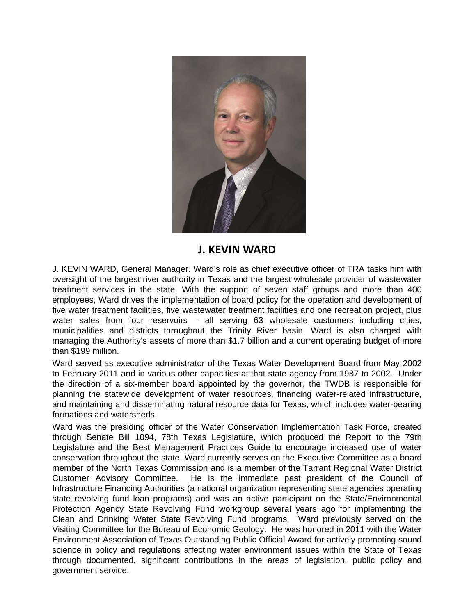

# **J. KEVIN WARD**

J. KEVIN WARD, General Manager. Ward's role as chief executive officer of TRA tasks him with oversight of the largest river authority in Texas and the largest wholesale provider of wastewater treatment services in the state. With the support of seven staff groups and more than 400 employees, Ward drives the implementation of board policy for the operation and development of five water treatment facilities, five wastewater treatment facilities and one recreation project, plus water sales from four reservoirs – all serving 63 wholesale customers including cities, municipalities and districts throughout the Trinity River basin. Ward is also charged with managing the Authority's assets of more than \$1.7 billion and a current operating budget of more than \$199 million.

Ward served as executive administrator of the Texas Water Development Board from May 2002 to February 2011 and in various other capacities at that state agency from 1987 to 2002. Under the direction of a six-member board appointed by the governor, the TWDB is responsible for planning the statewide development of water resources, financing water-related infrastructure, and maintaining and disseminating natural resource data for Texas, which includes water-bearing formations and watersheds.

Ward was the presiding officer of the Water Conservation Implementation Task Force, created through Senate Bill 1094, 78th Texas Legislature, which produced the Report to the 79th Legislature and the Best Management Practices Guide to encourage increased use of water conservation throughout the state. Ward currently serves on the Executive Committee as a board member of the North Texas Commission and is a member of the Tarrant Regional Water District Customer Advisory Committee. He is the immediate past president of the Council of Infrastructure Financing Authorities (a national organization representing state agencies operating state revolving fund loan programs) and was an active participant on the State/Environmental Protection Agency State Revolving Fund workgroup several years ago for implementing the Clean and Drinking Water State Revolving Fund programs. Ward previously served on the Visiting Committee for the Bureau of Economic Geology. He was honored in 2011 with the Water Environment Association of Texas Outstanding Public Official Award for actively promoting sound science in policy and regulations affecting water environment issues within the State of Texas through documented, significant contributions in the areas of legislation, public policy and government service.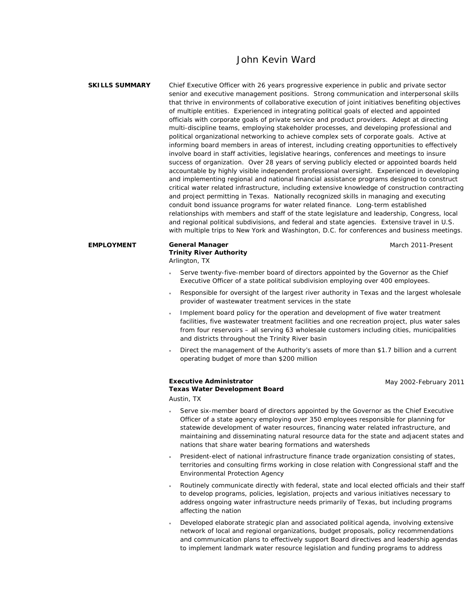## John Kevin Ward

**SKILLS SUMMARY** Chief Executive Officer with 26 years progressive experience in public and private sector senior and executive management positions. Strong communication and interpersonal skills that thrive in environments of collaborative execution of joint initiatives benefiting objectives of multiple entities. Experienced in integrating political goals of elected and appointed officials with corporate goals of private service and product providers. Adept at directing multi-discipline teams, employing stakeholder processes, and developing professional and political organizational networking to achieve complex sets of corporate goals. Active at informing board members in areas of interest, including creating opportunities to effectively involve board in staff activities, legislative hearings, conferences and meetings to insure success of organization. Over 28 years of serving publicly elected or appointed boards held accountable by highly visible independent professional oversight. Experienced in developing and implementing regional and national financial assistance programs designed to construct critical water related infrastructure, including extensive knowledge of construction contracting and project permitting in Texas. Nationally recognized skills in managing and executing conduit bond issuance programs for water related finance. Long-term established relationships with members and staff of the state legislature and leadership, Congress, local and regional political subdivisions, and federal and state agencies. Extensive travel in U.S. with multiple trips to New York and Washington, D.C. for conferences and business meetings.

March 2011-Present

### Serve twenty-five-member board of directors appointed by the Governor as the Chief Executive Officer of a state political subdivision employing over 400 employees.

- Responsible for oversight of the largest river authority in Texas and the largest wholesale provider of wastewater treatment services in the state
- Implement board policy for the operation and development of five water treatment facilities, five wastewater treatment facilities and one recreation project, plus water sales from four reservoirs – all serving 63 wholesale customers including cities, municipalities and districts throughout the Trinity River basin
- Direct the management of the Authority's assets of more than \$1.7 billion and a current operating budget of more than \$200 million

#### **Executive Administrator Texas Water Development Board**

**Trinity River Authority** 

*Arlington, TX* 

May 2002-February 2011

*Austin, TX* 

**EMPLOYMENT General Manager** 

- Serve six-member board of directors appointed by the Governor as the Chief Executive Officer of a state agency employing over 350 employees responsible for planning for statewide development of water resources, financing water related infrastructure, and maintaining and disseminating natural resource data for the state and adjacent states and nations that share water bearing formations and watersheds
- President-elect of national infrastructure finance trade organization consisting of states, territories and consulting firms working in close relation with Congressional staff and the Environmental Protection Agency
- Routinely communicate directly with federal, state and local elected officials and their staff to develop programs, policies, legislation, projects and various initiatives necessary to address ongoing water infrastructure needs primarily of Texas, but including programs affecting the nation
- Developed elaborate strategic plan and associated political agenda, involving extensive network of local and regional organizations, budget proposals, policy recommendations and communication plans to effectively support Board directives and leadership agendas to implement landmark water resource legislation and funding programs to address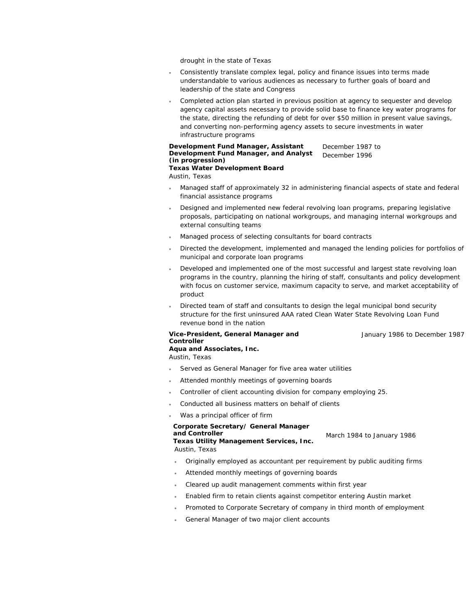drought in the state of Texas

- Consistently translate complex legal, policy and finance issues into terms made understandable to various audiences as necessary to further goals of board and leadership of the state and Congress
- Completed action plan started in previous position at agency to sequester and develop agency capital assets necessary to provide solid base to finance key water programs for the state, directing the refunding of debt for over \$50 million in present value savings, and converting non-performing agency assets to secure investments in water infrastructure programs

#### **Development Fund Manager, Assistant Development Fund Manager, and Analyst (in progression) Texas Water Development Board**  December 1987 to December 1996

*Austin, Texas* 

- Managed staff of approximately 32 in administering financial aspects of state and federal financial assistance programs
- Designed and implemented new federal revolving loan programs, preparing legislative proposals, participating on national workgroups, and managing internal workgroups and external consulting teams
- Managed process of selecting consultants for board contracts
- Directed the development, implemented and managed the lending policies for portfolios of municipal and corporate loan programs
- Developed and implemented one of the most successful and largest state revolving loan programs in the country, planning the hiring of staff, consultants and policy development with focus on customer service, maximum capacity to serve, and market acceptability of product
- Directed team of staff and consultants to design the legal municipal bond security structure for the first uninsured AAA rated Clean Water State Revolving Loan Fund revenue bond in the nation

#### **Vice-President, General Manager and Controller**

January 1986 to December 1987

### **Aqua and Associates, Inc.**

*Austin, Texas* 

- Served as General Manager for five area water utilities
- Attended monthly meetings of governing boards
- Controller of client accounting division for company employing 25.
- Conducted all business matters on behalf of clients
- Was a principal officer of firm

#### **Corporate Secretary/ General Manager and Controller**

**Texas Utility Management Services, Inc.** March 1984 to January 1986 *Austin, Texas* 

- Originally employed as accountant per requirement by public auditing firms
- Attended monthly meetings of governing boards
- Cleared up audit management comments within first year
- Enabled firm to retain clients against competitor entering Austin market
- Promoted to Corporate Secretary of company in third month of employment
- General Manager of two major client accounts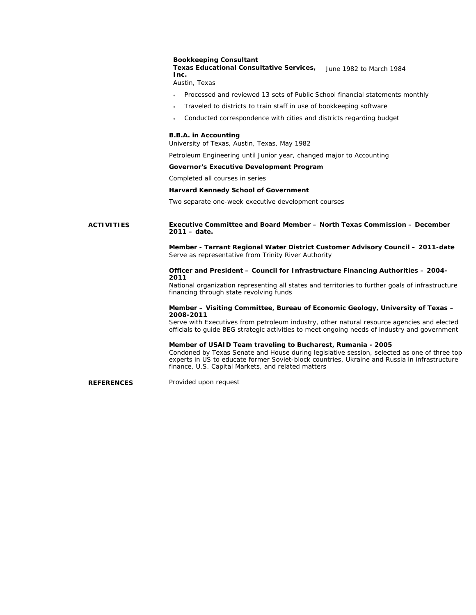#### **Bookkeeping Consultant**

**Texas Educational Consultative Services,**  June 1982 to March 1984 **Inc.** 

*Austin, Texas* 

- Processed and reviewed 13 sets of Public School financial statements monthly
- Traveled to districts to train staff in use of bookkeeping software
- Conducted correspondence with cities and districts regarding budget

#### **B.B.A. in Accounting**

*University of Texas, Austin, Texas, May 1982* 

*Petroleum Engineering until Junior year, changed major to Accounting* 

#### **Governor's Executive Development Program**

Completed all courses in series

#### **Harvard Kennedy School of Government**

Two separate one-week executive development courses

#### **ACTIVITIES Executive Committee and Board Member – North Texas Commission – December 2011 – date.**

**Member - Tarrant Regional Water District Customer Advisory Council – 2011-date**  Serve as representative from Trinity River Authority

#### **Officer and President – Council for Infrastructure Financing Authorities – 2004- 2011**

National organization representing all states and territories to further goals of infrastructure financing through state revolving funds

#### **Member – Visiting Committee, Bureau of Economic Geology, University of Texas – 2008-2011**

Serve with Executives from petroleum industry, other natural resource agencies and elected officials to guide BEG strategic activities to meet ongoing needs of industry and government

### **Member of USAID Team traveling to Bucharest, Rumania - 2005**

Condoned by Texas Senate and House during legislative session, selected as one of three top experts in US to educate former Soviet-block countries, Ukraine and Russia in infrastructure finance, U.S. Capital Markets, and related matters

**REFERENCES** Provided upon request